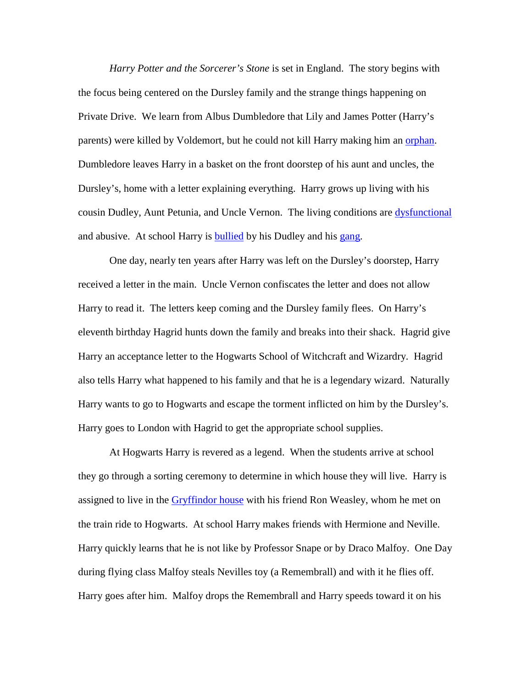*Harry Potter and the Sorcerer's Stone* is set in England. The story begins with the focus being centered on the Dursley family and the strange things happening on Private Drive. We learn from Albus Dumbledore that Lily and James Potter (Harry's parents) were killed by Voldemort, but he could not kill Harry making him an orphan. Dumbledore leaves Harry in a basket on the front doorstep of his aunt and uncles, the Dursley's, home with a letter explaining everything. Harry grows up living with his cousin Dudley, Aunt Petunia, and Uncle Vernon. The living conditions are dysfunctional and abusive. At school Harry is **bullied** by his Dudley and his gang.

One day, nearly ten years after Harry was left on the Dursley's doorstep, Harry received a letter in the main. Uncle Vernon confiscates the letter and does not allow Harry to read it. The letters keep coming and the Dursley family flees. On Harry's eleventh birthday Hagrid hunts down the family and breaks into their shack. Hagrid give Harry an acceptance letter to the Hogwarts School of Witchcraft and Wizardry. Hagrid also tells Harry what happened to his family and that he is a legendary wizard. Naturally Harry wants to go to Hogwarts and escape the torment inflicted on him by the Dursley's. Harry goes to London with Hagrid to get the appropriate school supplies.

At Hogwarts Harry is revered as a legend. When the students arrive at school they go through a sorting ceremony to determine in which house they will live. Harry is assigned to live in the Gryffindor house with his friend Ron Weasley, whom he met on the train ride to Hogwarts. At school Harry makes friends with Hermione and Neville. Harry quickly learns that he is not like by Professor Snape or by Draco Malfoy. One Day during flying class Malfoy steals Nevilles toy (a Remembrall) and with it he flies off. Harry goes after him. Malfoy drops the Remembrall and Harry speeds toward it on his